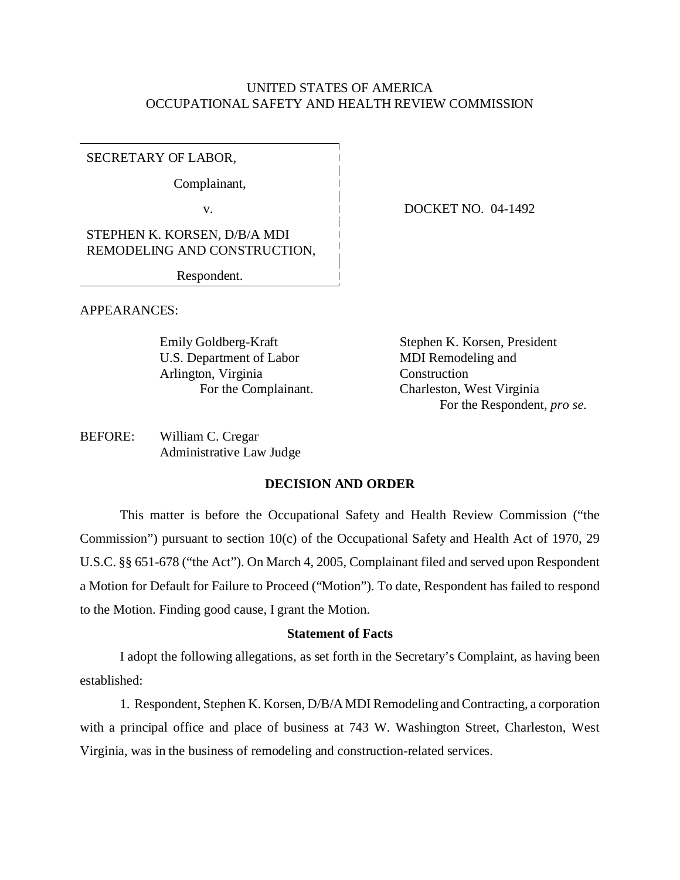# UNITED STATES OF AMERICA OCCUPATIONAL SAFETY AND HEALTH REVIEW COMMISSION

SECRETARY OF LABOR,

Complainant,

STEPHEN K. KORSEN, D/B/A MDI REMODELING AND CONSTRUCTION,

Respondent.

v. 1 DOCKET NO. 04-1492

APPEARANCES:

U.S. Department of Labor MDI Remodeling and Arlington, Virginia Construction

Emily Goldberg-Kraft Stephen K. Korsen, President For the Complainant. Charleston, West Virginia For the Respondent, *pro se*.

BEFORE: William C. Cregar Administrative Law Judge

## **DECISION AND ORDER**

This matter is before the Occupational Safety and Health Review Commission ("the Commission") pursuant to section 10(c) of the Occupational Safety and Health Act of 1970, 29 U.S.C. §§ 651-678 ("the Act"). On March 4, 2005, Complainant filed and served upon Respondent a Motion for Default for Failure to Proceed ("Motion"). To date, Respondent has failed to respond to the Motion. Finding good cause, I grant the Motion.

#### **Statement of Facts**

I adopt the following allegations, as set forth in the Secretary's Complaint, as having been established:

1. Respondent, Stephen K. Korsen, D/B/A MDI Remodeling and Contracting, a corporation with a principal office and place of business at 743 W. Washington Street, Charleston, West Virginia, was in the business of remodeling and construction-related services.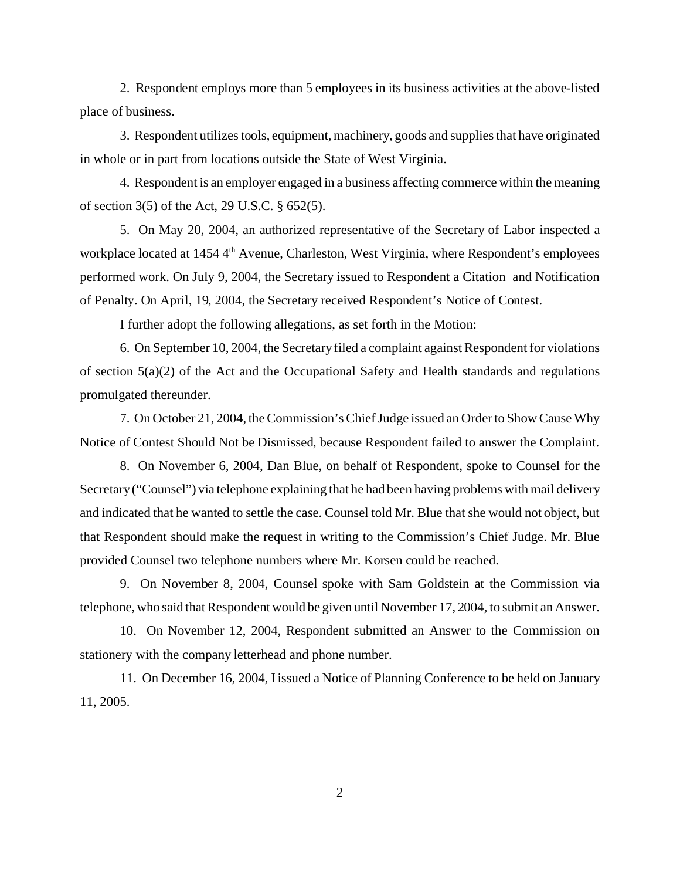2. Respondent employs more than 5 employees in its business activities at the above-listed place of business.

3. Respondent utilizes tools, equipment, machinery, goods and supplies that have originated in whole or in part from locations outside the State of West Virginia.

4. Respondent is an employer engaged in a business affecting commerce within the meaning of section 3(5) of the Act, 29 U.S.C. § 652(5).

5. On May 20, 2004, an authorized representative of the Secretary of Labor inspected a workplace located at 1454 4<sup>th</sup> Avenue, Charleston, West Virginia, where Respondent's employees performed work. On July 9, 2004, the Secretary issued to Respondent a Citation and Notification of Penalty. On April, 19, 2004, the Secretary received Respondent's Notice of Contest.

I further adopt the following allegations, as set forth in the Motion:

6. On September 10, 2004, the Secretary filed a complaint against Respondent for violations of section  $5(a)(2)$  of the Act and the Occupational Safety and Health standards and regulations promulgated thereunder.

7. On October 21, 2004, the Commission's Chief Judge issued an Order to Show Cause Why Notice of Contest Should Not be Dismissed, because Respondent failed to answer the Complaint.

8. On November 6, 2004, Dan Blue, on behalf of Respondent, spoke to Counsel for the Secretary ("Counsel") via telephone explaining that he had been having problems with mail delivery and indicated that he wanted to settle the case. Counsel told Mr. Blue that she would not object, but that Respondent should make the request in writing to the Commission's Chief Judge. Mr. Blue provided Counsel two telephone numbers where Mr. Korsen could be reached.

9. On November 8, 2004, Counsel spoke with Sam Goldstein at the Commission via telephone, who said that Respondent would be given until November 17, 2004, to submit an Answer.

10. On November 12, 2004, Respondent submitted an Answer to the Commission on stationery with the company letterhead and phone number.

11. On December 16, 2004, I issued a Notice of Planning Conference to be held on January 11, 2005.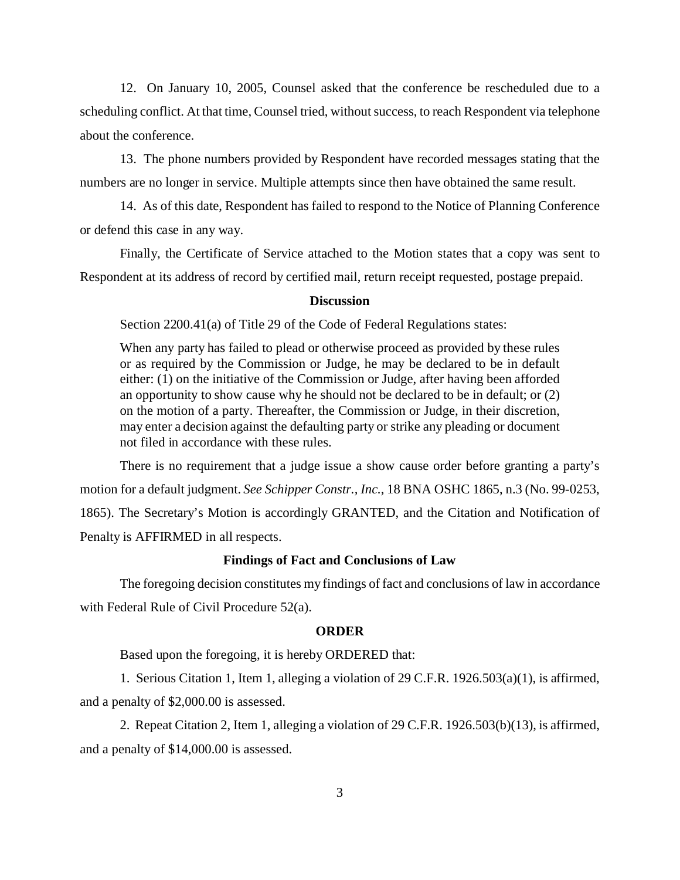12. On January 10, 2005, Counsel asked that the conference be rescheduled due to a scheduling conflict. At that time, Counsel tried, without success, to reach Respondent via telephone about the conference.

13. The phone numbers provided by Respondent have recorded messages stating that the numbers are no longer in service. Multiple attempts since then have obtained the same result.

14. As of this date, Respondent has failed to respond to the Notice of Planning Conference or defend this case in any way.

Finally, the Certificate of Service attached to the Motion states that a copy was sent to Respondent at its address of record by certified mail, return receipt requested, postage prepaid.

#### **Discussion**

Section 2200.41(a) of Title 29 of the Code of Federal Regulations states:

When any party has failed to plead or otherwise proceed as provided by these rules or as required by the Commission or Judge, he may be declared to be in default either: (1) on the initiative of the Commission or Judge, after having been afforded an opportunity to show cause why he should not be declared to be in default; or (2) on the motion of a party. Thereafter, the Commission or Judge, in their discretion, may enter a decision against the defaulting party or strike any pleading or document not filed in accordance with these rules.

There is no requirement that a judge issue a show cause order before granting a party's motion for a default judgment. *See Schipper Constr., Inc.*, 18 BNA OSHC 1865, n.3 (No. 99-0253, 1865). The Secretary's Motion is accordingly GRANTED, and the Citation and Notification of Penalty is AFFIRMED in all respects.

### **Findings of Fact and Conclusions of Law**

The foregoing decision constitutes my findings of fact and conclusions of law in accordance with Federal Rule of Civil Procedure 52(a).

#### **ORDER**

Based upon the foregoing, it is hereby ORDERED that:

1. Serious Citation 1, Item 1, alleging a violation of 29 C.F.R. 1926.503(a)(1), is affirmed, and a penalty of \$2,000.00 is assessed.

2. Repeat Citation 2, Item 1, alleging a violation of 29 C.F.R. 1926.503(b)(13), is affirmed, and a penalty of \$14,000.00 is assessed.